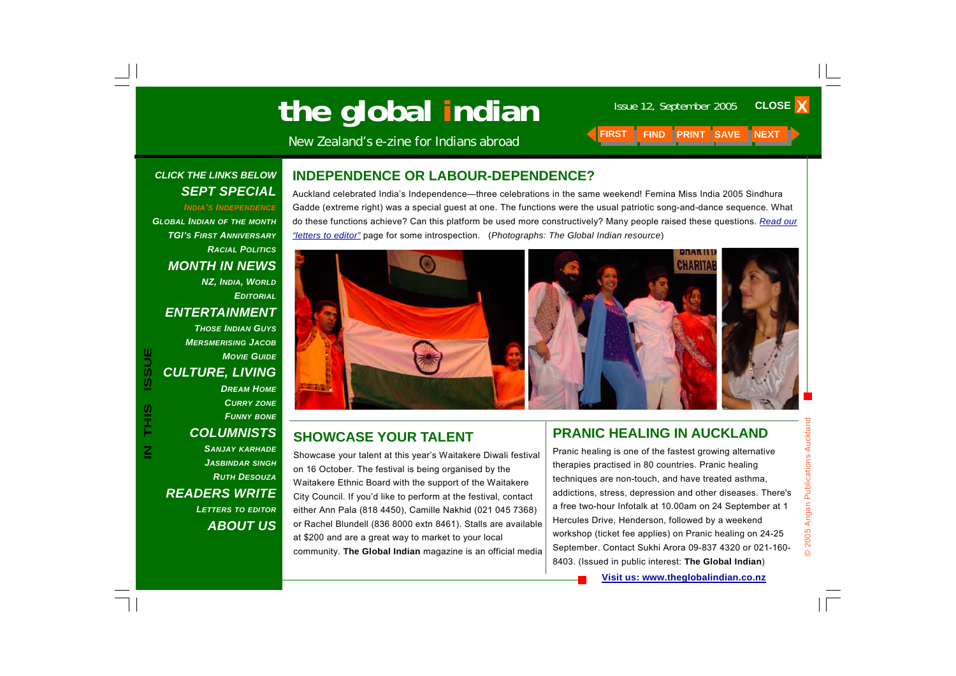# **Ihe global indian** Issue 12, September 2005 CLOS

New Zealand's e-zine for Indians abroad

#### *CLICK THE LINKS BELOW SEPT SPECIAL*

*INDIA'S INDEPENDENCEGLOBAL INDIAN OF THE MONTH TGI'S FIRST ANNIVERSARYRACIAL POLITICSMONTH IN NEWS NZ, INDIA, WORLD EDITORIALENTERTAINMENT THOSE INDIAN GUYSMERSMERISING JACOBMOVIE GUIDECULTURE, LIVING DREAM HOMECURRY ZONE FUNNY BONE COLUMNISTS SANJAY KARHADE JASBINDAR SINGH RUTH DESOUZAREADERS WRITE LETTERS TO EDITOR ABOUT US*

#### **INDEPENDENCE OR LABOUR-DEPENDENCE?**

Auckland celebrated India's Independence—three celebrations in the same weekend! Femina Miss India 2005 Sindhura Gadde (extreme right) was a special guest at one. The functions were the usual patriotic song-and-dance sequence. What do these functions achieve? Can this platform be used more constructively? Many people raised these questions. *Read our "letters to editor"* page for some introspection. (*Photographs: The Global Indian resource*)



on 16 October. The festival is being organised by the Waitakere Ethnic Board with the support of the Waitakere City Council. If you'd like to perform at the festival, contact either Ann Pala (818 4450), Camille Nakhid (021 045 7368) or Rachel Blundell (836 8000 extn 8461). Stalls are available at \$200 and are a great way to market to your local community. **The Global Indian** magazine is an official media

#### **PRANIC HEALING IN AUCKLAND**

Pranic healing is one of the fastest growing alternative therapies practised in 80 countries. Pranic healing techniques are non-touch, and have treated asthma, addictions, stress, depression and other diseases. There's a free two-hour Infotalk at 10.00am on 24 September at 1 Hercules Drive, Henderson, followed by a weekend workshop (ticket fee applies) on Pranic healing on 24-25 September. Contact Sukhi Arora 09-837 4320 or 021-160- 8403. (Issued in public interest: **The Global Indian**)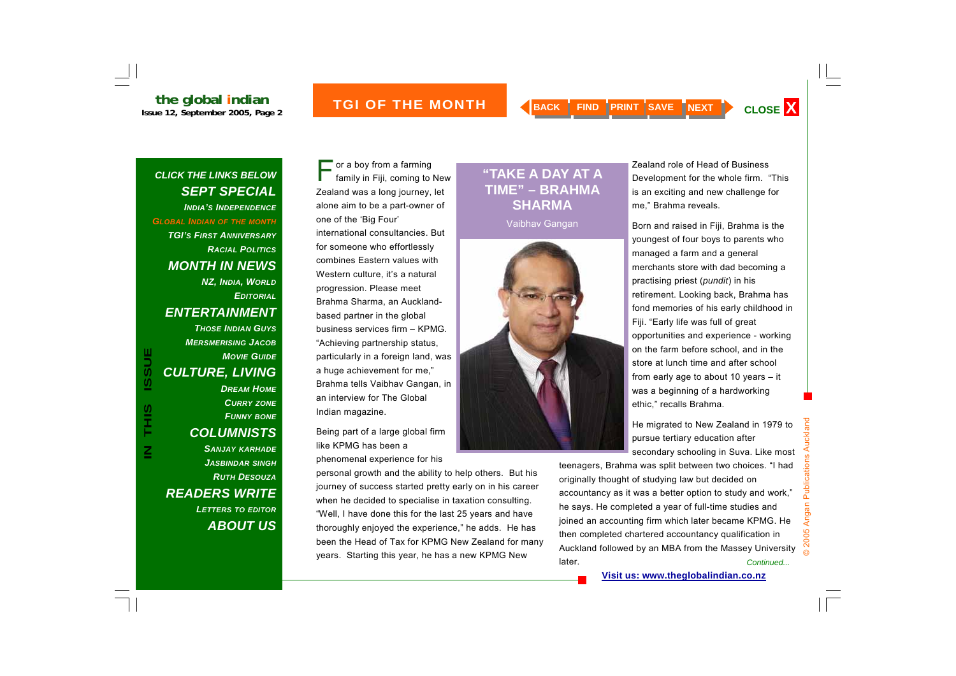*CLICK THE LINKS BELOW* 

#### **INDERTHE MONTH A BACK FIND PRINT SAVE NEXT CLOSE X**

#### *SEPT SPECIAL INDIA'S INDEPENDENCE GLOBAL INDIAN OF THE MONTH TGI'S FIRST ANNIVERSARYRACIAL POLITICSMONTH IN NEWS NZ, INDIA, WORLD EDITORIALENTERTAINMENT THOSE INDIAN GUYS MERSMERISING JACOBMOVIE GUIDECULTURE, LIVING DREAM HOMECURRY ZONE FUNNY BONE COLUMNISTS SANJAY KARHADE JASBINDAR SINGH RUTH DESOUZAREADERS WRITE LETTERS TO EDITOR ABOUT US*

**IN THIS ISSUE**

S<br>HH

**ISSUE** 

or a boy from a farming<br>family in Fiji, coming to New Zealand was a long journey, let alone aim to be a part-owner of one of the 'Big Four' international consultancies. But for someone who effortlessly combines Eastern values with Western culture, it's a natural progression. Please meet Brahma Sharma, an Aucklandbased partner in the global business services firm – KPMG. "Achieving partnership status, particularly in a foreign land, was a huge achievement for me," Brahma tells Vaibhav Gangan, in an interview for The Global Indian magazine.

Being part of a large global firm like KPMG has been a phenomenal experience for his

personal growth and the ability to help others. But his journey of success started pretty early on in his career when he decided to specialise in taxation consulting. "Well, I have done this for the last 25 years and have thoroughly enjoyed the experience," he adds. He has been the Head of Tax for KPMG New Zealand for many years. Starting this year, he has a new KPMG New

#### **"TAKE A DAY AT A TIME" – BRAHMA SHARMA**

Vaibhav Gangan



Zealand role of Head of Business Development for the whole firm. "This is an exciting and new challenge for me," Brahma reveals.

Born and raised in Fiji, Brahma is the youngest of four boys to parents who managed a farm and a general merchants store with dad becoming a practising priest (*pundit*) in his retirement. Looking back, Brahma has fond memories of his early childhood in Fiji. "Early life was full of great opportunities and experience - working on the farm before school, and in the store at lunch time and after school from early age to about 10 years – it was a beginning of a hardworking ethic," recalls Brahma.

He migrated to New Zealand in 1979 to pursue tertiary education after secondary schooling in Suva. Like most

teenagers, Brahma was split between two choices. "I had originally thought of studying law but decided on accountancy as it was a better option to study and work," he says. He completed a year of full-time studies and joined an accounting firm which later became KPMG. He then completed chartered accountancy qualification in Auckland followed by an MBA from the Massey University later. *Continued...*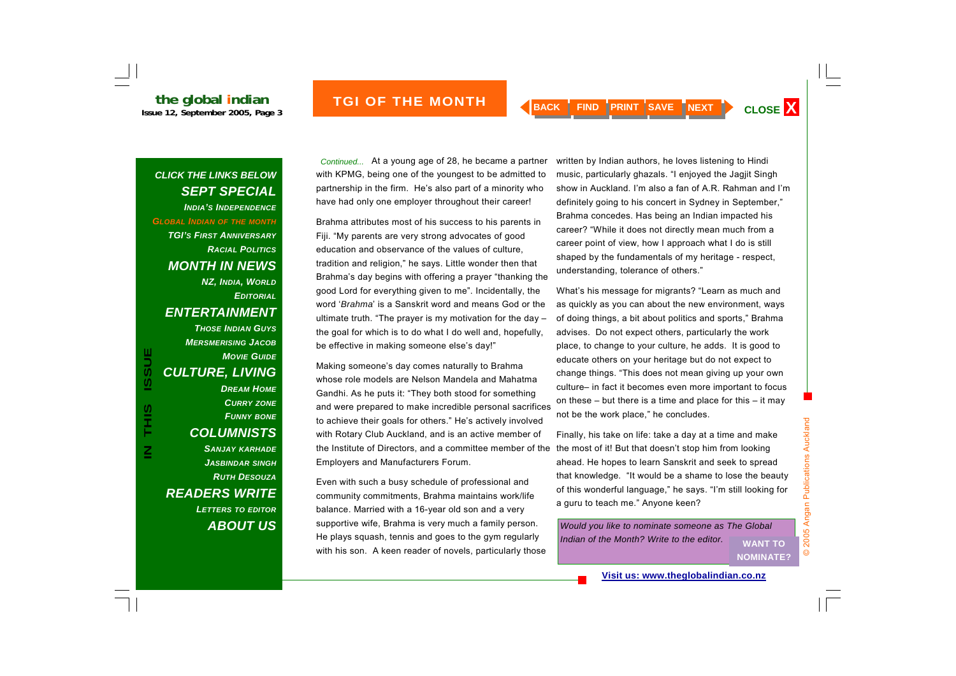#### *CLICK THE LINKS BELOW SEPT SPECIAL INDIA'S INDEPENDENCEGLOBAL INDIAN OF THE MONTH TGI'S FIRST ANNIVERSARYRACIAL POLITICSMONTH IN NEWS NZ, INDIA, WORLD EDITORIALENTERTAINMENT THOSE INDIAN GUYSMERSMERISING JACOBMOVIE GUIDECULTURE, LIVING DREAM HOMECURRY ZONE FUNNY BONE COLUMNISTS SANJAY KARHADE JASBINDAR SINGH RUTH DESOUZA*

*READERS WRITE* 

*LETTERS TO EDITOR*

*ABOUT US*

*Continued...* At a young age of 28, he became a partner with KPMG, being one of the youngest to be admitted to partnership in the firm. He's also part of a minority who have had only one employer throughout their career!

Brahma attributes most of his success to his parents in Fiji. "My parents are very strong advocates of good education and observance of the values of culture, tradition and religion," he says. Little wonder then that Brahma's day begins with offering a prayer "thanking the good Lord for everything given to me". Incidentally, the word '*Brahma*' is a Sanskrit word and means God or the ultimate truth. "The prayer is my motivation for the day – the goal for which is to do what I do well and, hopefully, be effective in making someone else's day!"

Making someone's day comes naturally to Brahma whose role models are Nelson Mandela and Mahatma Gandhi. As he puts it: "They both stood for something and were prepared to make incredible personal sacrifices to achieve their goals for others." He's actively involved with Rotary Club Auckland, and is an active member of the Institute of Directors, and a committee member of the Employers and Manufacturers Forum.

Even with such a busy schedule of professional and community commitments, Brahma maintains work/life balance. Married with a 16-year old son and a very supportive wife, Brahma is very much a family person. He plays squash, tennis and goes to the gym regularly with his son. A keen reader of novels, particularly those written by Indian authors, he loves listening to Hindi music, particularly ghazals. "I enjoyed the Jagjit Singh show in Auckland. I'm also a fan of A.R. Rahman and I'm definitely going to his concert in Sydney in September," Brahma concedes. Has being an Indian impacted his career? "While it does not directly mean much from a career point of view, how I approach what I do is still shaped by the fundamentals of my heritage - respect, understanding, tolerance of others."

What's his message for migrants? "Learn as much and as quickly as you can about the new environment, ways of doing things, a bit about politics and sports," Brahma advises. Do not expect others, particularly the work place, to change to your culture, he adds. It is good to educate others on your heritage but do not expect to change things. "This does not mean giving up your own culture– in fact it becomes even more important to focus on these  $-$  but there is a time and place for this  $-$  it may not be the work place," he concludes.

Finally, his take on life: take a day at a time and make the most of it! But that doesn't stop him from looking ahead. He hopes to learn Sanskrit and seek to spread that knowledge. "It would be a shame to lose the beauty of this wonderful language," he says. "I'm still looking for a guru to teach me." Anyone keen?

*Would you like to nominate someone as The Global Indian of the Month? Write to the editor.* **WANT TO** 

**NOMINATE?**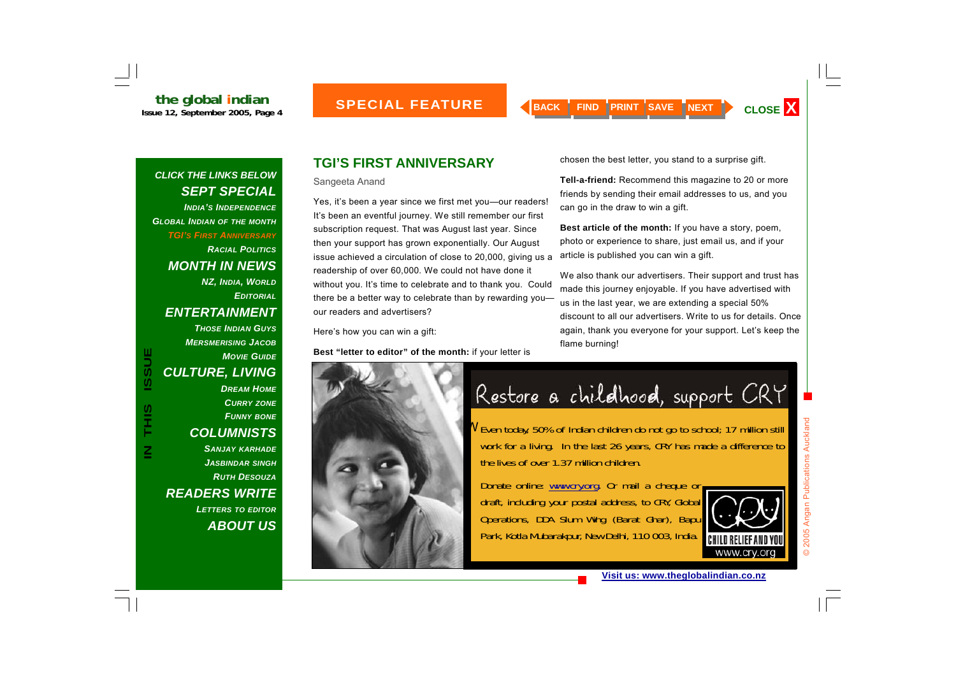*INDIA'S INDEPENDENCEGLOBAL INDIAN OF THE MONTH TGI'S FIRST ANNIVERSARY RACIAL POLITICSMONTH IN NEWS NZ, INDIA, WORLD EDITORIALENTERTAINMENT THOSE INDIAN GUYSMERSMERISING JACOB MOVIE GUIDECULTURE, LIVING* 

*DREAM HOMECURRY ZONE FUNNY BONE COLUMNISTS SANJAY KARHADE JASBINDAR SINGH RUTH DESOUZAREADERS WRITE LETTERS TO EDITOR ABOUT US*

#### **TGI'S FIRST ANNIVERSARY**

Sangeeta Anand

Yes, it's been a year since we first met you—our readers! It's been an eventful journey. We still remember our first subscription request. That was August last year. Since then your support has grown exponentially. Our August issue achieved a circulation of close to 20,000, giving us a readership of over 60,000. We could not have done it without you. It's time to celebrate and to thank you. Could there be a better way to celebrate than by rewarding you our readers and advertisers?

Here's how you can win a gift:

**Best "letter to editor" of the month:** if your letter is



chosen the best letter, you stand to a surprise gift.

**Tell-a-friend:** Recommend this magazine to 20 or more friends by sending their email addresses to us, and you can go in the draw to win a gift.

**Best article of the month:** If you have a story, poem, photo or experience to share, just email us, and if your article is published you can win a gift.

We also thank our advertisers. Their support and trust has made this journey enjoyable. If you have advertised with us in the last year, we are extending a special 50% discount to all our advertisers. Write to us for details. Once again, thank you everyone for your support. Let's keep the flame burning!

Restore a childhood, support CRY

<sup>W</sup>Even today, 50% of Indian children do not go to school; 17 million still work for a living. In the last 26 years, CRY has made a difference to the lives of over 1.37 million children.

Donate online: www.cry.org. Or mail a cheque or draft, including your postal address, to CRY, Global Operations, DDA Slum Wing (Barat Ghar), Bapu Park, Kotla Mubarakpur, New Delhi, 110 003, India.



© 2005 Angan Publications Auckland

2005

Angan Publications Auckland

**IN THIS ISSUE**

SIL<br>H

**ISSUE**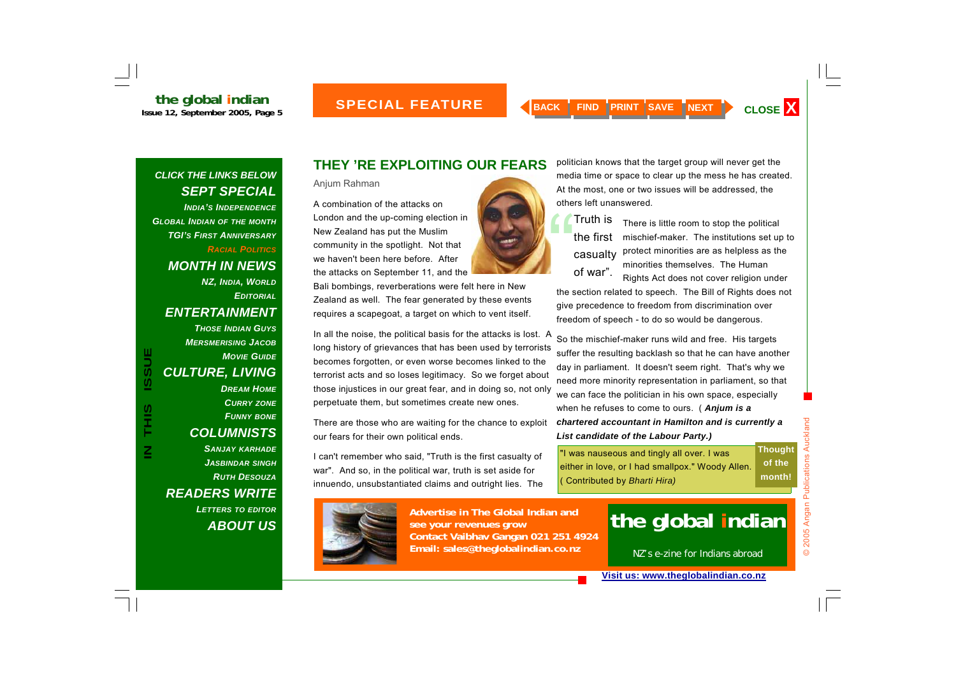*INDIA'S INDEPENDENCEGLOBAL INDIAN OF THE MONTH TGI'S FIRST ANNIVERSARYRACIAL POLITICS*

*MONTH IN NEWS* 

*NZ, INDIA, WORLD EDITORIAL*

*ENTERTAINMENT* 

*THOSE INDIAN GUYSMERSMERISING JACOBMOVIE GUIDECULTURE, LIVING DREAM HOMECURRY ZONE FUNNY BONE COLUMNISTS SANJAY KARHADE JASBINDAR SINGH RUTH DESOUZAREADERS WRITE* 

**IN THIS ISSUE**

SIHT<br>T

**ISSUE** 

*LETTERS TO EDITOR ABOUT US*

#### **THEY 'RE EXPLOITING OUR FEARS**

Anjum Rahman

A combination of the attacks on London and the up-coming election in New Zealand has put the Muslim community in the spotlight. Not that we haven't been here before. After the attacks on September 11, and the

Bali bombings, reverberations were felt here in New Zealand as well. The fear generated by these events requires a scapegoat, a target on which to vent itself.

In all the noise, the political basis for the attacks is lost. A long history of grievances that has been used by terrorists becomes forgotten, or even worse becomes linked to the terrorist acts and so loses legitimacy. So we forget about those injustices in our great fear, and in doing so, not only perpetuate them, but sometimes create new ones.

There are those who are waiting for the chance to exploit our fears for their own political ends.

I can't remember who said, "Truth is the first casualty of war". And so, in the political war, truth is set aside for innuendo, unsubstantiated claims and outright lies. The



**Advertise in The Global Indian and see your revenues grow Contact Vaibhav Gangan 021 251 4924 Email: sales@theglobalindian.co.nz**

politician knows that the target group will never get the media time or space to clear up the mess he has created. At the most, one or two issues will be addressed, the others left unanswered.

There is little room to stop the political mischief-maker. The institutions set up to protect minorities are as helpless as the minorities themselves. The Human Truth is  $t$  the first casualty of war".

Rights Act does not cover religion under the section related to speech. The Bill of Rights does not give precedence to freedom from discrimination over freedom of speech - to do so would be dangerous.

So the mischief-maker runs wild and free. His targets suffer the resulting backlash so that he can have another day in parliament. It doesn't seem right. That's why we need more minority representation in parliament, so that we can face the politician in his own space, especially when he refuses to come to ours. ( *Anjum is a chartered accountant in Hamilton and is currently a List candidate of the Labour Party.)* 

"I was nauseous and tingly all over. I was either in love, or I had smallpox." Woody Allen. ( Contributed by *Bharti Hira)*  **Thought of the month!** 

# **the global indian**

NZ's e-zine for Indians abroad

 $\odot$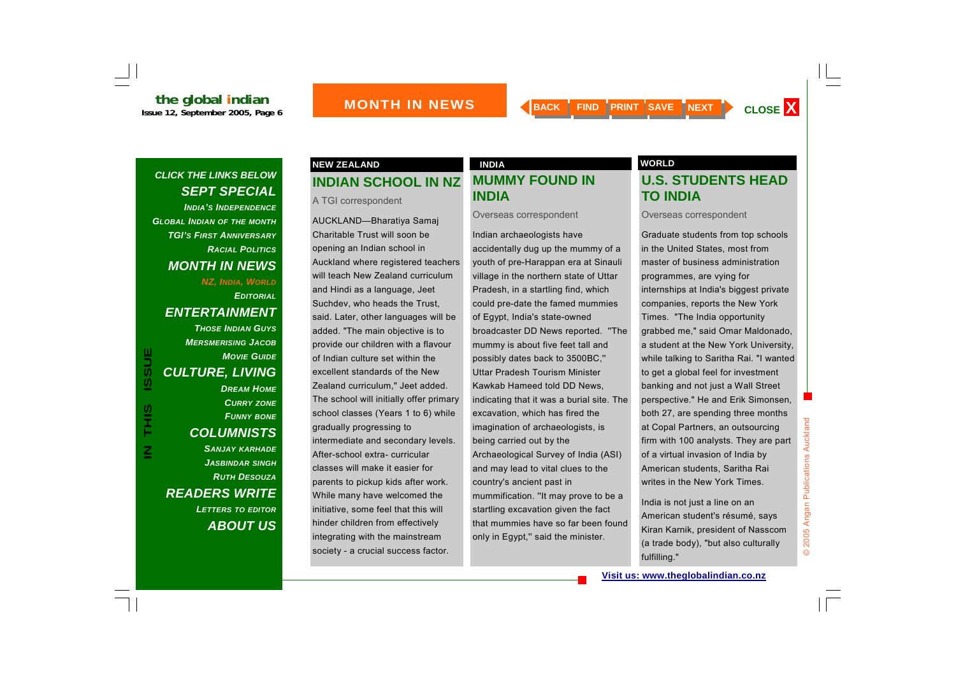*INDIA'S INDEPENDENCEGLOBAL INDIAN OF THE MONTH TGI'S FIRST ANNIVERSARYRACIAL POLITICSMONTH IN NEWS NZ, INDIA, WORLD EDITORIALENTERTAINMENT THOSE INDIAN GUYSMERSMERISING JACOBMOVIE GUIDECULTURE, LIVING DREAM HOMECURRY ZONE FUNNY BONE COLUMNISTS SANJAY KARHADE JASBINDAR SINGH*

**IN THIS ISSUE**

SHI<br>H

 $\overline{\mathsf{z}}$ 

ш

**USSI** 

*RUTH DESOUZA*

*LETTERS TO EDITOR*

*ABOUT US*

*READERS WRITE* 

#### **INDIAN SCHOOL IN NZ NEW ZEALAND CONSUMING A REAL PROPERTY OF A REAL PROPERTY OF A REAL PROPERTY OF A REAL PROPERTY OF A REAL PROPERTY OF A REAL PROPERTY OF A REAL PROPERTY OF A REAL PROPERTY OF A REAL PROPERTY OF A REAL PROPERTY OF A REAL PR**

A TGI correspondent

AUCKLAND—Bharatiya Samaj Charitable Trust will soon be opening an Indian school in Auckland where registered teachers will teach New Zealand curriculum and Hindi as a language, Jeet Suchdev, who heads the Trust, said. Later, other languages will be added. "The main objective is to provide our children with a flavour of Indian culture set within the excellent standards of the New Zealand curriculum," Jeet added. The school will initially offer primary school classes (Years 1 to 6) while gradually progressing to intermediate and secondary levels. After-school extra- curricular classes will make it easier for parents to pickup kids after work. While many have welcomed the initiative, some feel that this will hinder children from effectively integrating with the mainstream society - a crucial success factor.

### **MUMMY FOUND IN INDIA**

Overseas correspondent

Indian archaeologists have accidentally dug up the mummy of a youth of pre-Harappan era at Sinauli village in the northern state of Uttar Pradesh, in a startling find, which could pre-date the famed mummies of Egypt, India's state-owned broadcaster DD News reported. ''The mummy is about five feet tall and possibly dates back to 3500BC,'' Uttar Pradesh Tourism Minister Kawkab Hameed told DD News, indicating that it was a burial site. The excavation, which has fired the imagination of archaeologists, is being carried out by the Archaeological Survey of India (ASI) and may lead to vital clues to the country's ancient past in mummification. ''It may prove to be a startling excavation given the fact that mummies have so far been found only in Egypt,'' said the minister.

#### **U.S. STUDENTS HEAD TO INDIA**

Overseas correspondent

Graduate students from top schools in the United States, most from master of business administration programmes, are vying for internships at India's biggest private companies, reports the New York Times. "The India opportunity grabbed me," said Omar Maldonado, a student at the New York University, while talking to Saritha Rai. "I wanted to get a global feel for investment banking and not just a Wall Street perspective." He and Erik Simonsen, both 27, are spending three months at Copal Partners, an outsourcing firm with 100 analysts. They are part of a virtual invasion of India by American students, Saritha Rai writes in the New York Times.

India is not just a line on an American student's résumé, says Kiran Karnik, president of Nasscom (a trade body), "but also culturally fulfilling."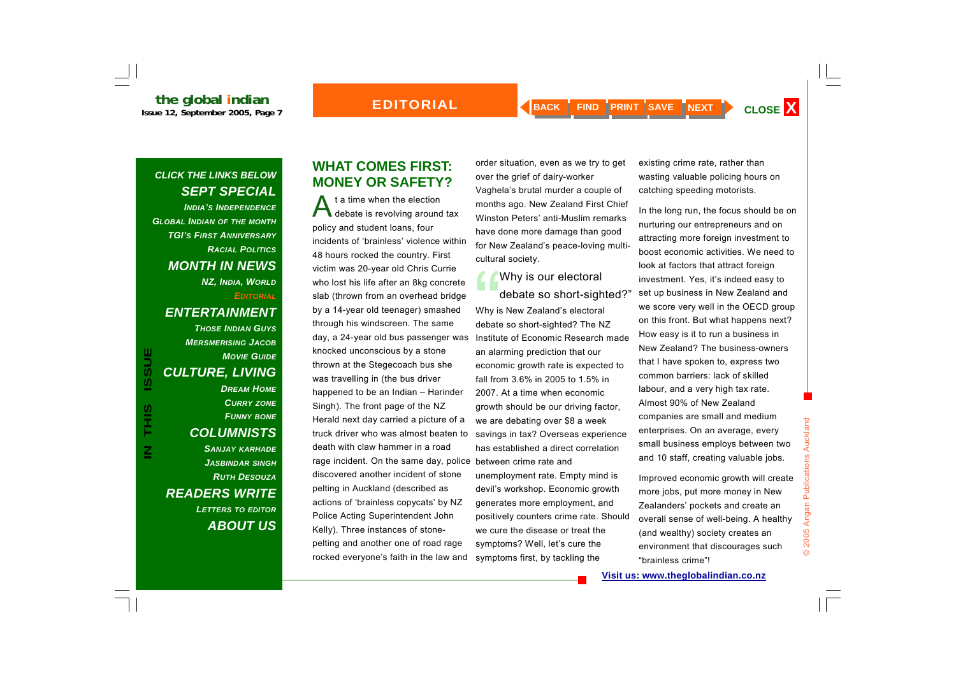**the global indian**<br>Issue 12, September 2005, Page 7

*INDIA'S INDEPENDENCEGLOBAL INDIAN OF THE MONTH TGI'S FIRST ANNIVERSARYRACIAL POLITICSMONTH IN NEWS NZ, INDIA, WORLD EDITORIALENTERTAINMENT THOSE INDIAN GUYS*

*MERSMERISING JACOBMOVIE GUIDECULTURE, LIVING DREAM HOMECURRY ZONE FUNNY BONE COLUMNISTS SANJAY KARHADE JASBINDAR SINGH RUTH DESOUZAREADERS WRITE LETTERS TO EDITOR ABOUT US*

#### **WHAT COMES FIRST: MONEY OR SAFETY?**

t a time when the election<br>debate is revolving around tax policy and student loans, four incidents of 'brainless' violence within 48 hours rocked the country. First victim was 20-year old Chris Currie who lost his life after an 8kg concrete slab (thrown from an overhead bridge by a 14-year old teenager) smashed through his windscreen. The same day, a 24-year old bus passenger was knocked unconscious by a stone thrown at the Stegecoach bus she was travelling in (the bus driver happened to be an Indian – Harinder Singh). The front page of the NZ Herald next day carried a picture of a truck driver who was almost beaten to death with claw hammer in a road rage incident. On the same day, police between crime rate and discovered another incident of stone pelting in Auckland (described as actions of 'brainless copycats' by NZ Police Acting Superintendent John Kelly). Three instances of stonepelting and another one of road rage rocked everyone's faith in the law and

order situation, even as we try to get over the grief of dairy-worker Vaghela's brutal murder a couple of months ago. New Zealand First Chief Winston Peters' anti-Muslim remarks have done more damage than good for New Zealand's peace-loving multicultural society.

#### Why is New Zealand's electoral debate so short-sighted? The NZ Institute of Economic Research made an alarming prediction that our economic growth rate is expected to fall from 3.6% in 2005 to 1.5% in 2007. At a time when economic growth should be our driving factor, we are debating over \$8 a week savings in tax? Overseas experience has established a direct correlation unemployment rate. Empty mind is devil's workshop. Economic growth generates more employment, and positively counters crime rate. Should we cure the disease or treat the symptoms? Well, let's cure the symptoms first, by tackling the Why is our electoral<br>debate so short-sighted?"

existing crime rate, rather than wasting valuable policing hours on catching speeding motorists.

In the long run, the focus should be on nurturing our entrepreneurs and on attracting more foreign investment to boost economic activities. We need to look at factors that attract foreign investment. Yes, it's indeed easy to set up business in New Zealand and we score very well in the OECD group on this front. But what happens next? How easy is it to run a business in New Zealand? The business-owners that I have spoken to, express two common barriers: lack of skilled labour, and a very high tax rate. Almost 90% of New Zealand companies are small and medium enterprises. On an average, every small business employs between two and 10 staff, creating valuable jobs.

Improved economic growth will create more jobs, put more money in New Zealanders' pockets and create an overall sense of well-being. A healthy (and wealthy) society creates an environment that discourages such "brainless crime"!

© 2005 Angan Publications Auckland

2005

Angan Publications Auckland

**ISSUE**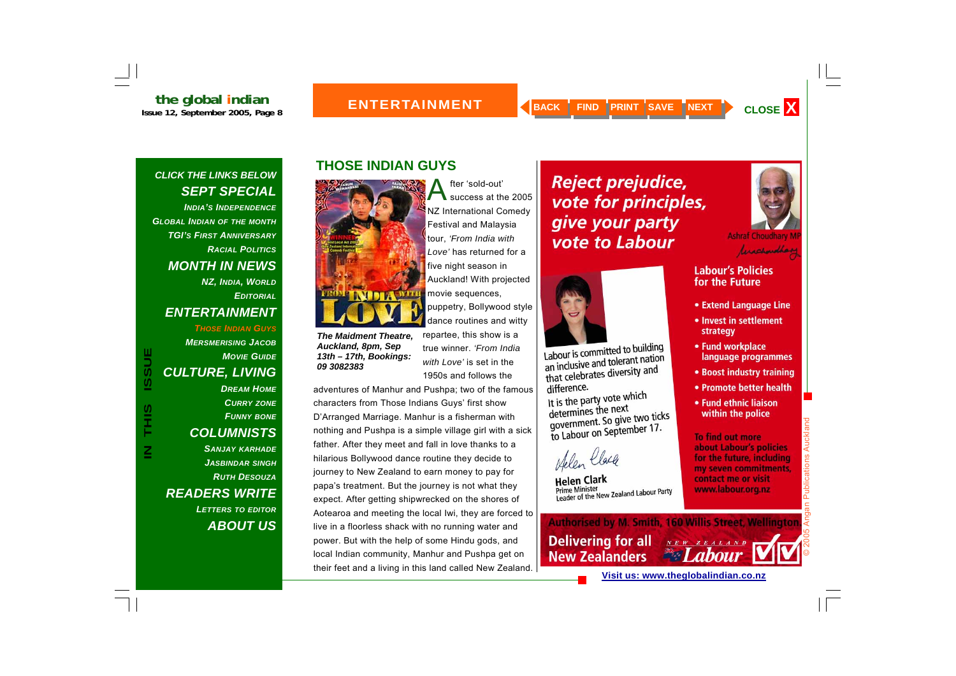#### **ENTERTAINMENT**

#### *CLICK THE LINKS BELOW SEPT SPECIAL*

*INDIA'S INDEPENDENCEGLOBAL INDIAN OF THE MONTH TGI'S FIRST ANNIVERSARYRACIAL POLITICSMONTH IN NEWS NZ, INDIA, WORLD EDITORIALENTERTAINMENT THOSE INDIAN GUYSMERSMERISING JACOB*

#### *CULTURE, LIVING DREAM HOMECURRY ZONE FUNNY BONE COLUMNISTS SANJAY KARHADE JASBINDAR SINGH RUTH DESOUZAREADERS WRITE LETTERS TO EDITOR ABOUT US*

*MOVIE GUIDE*

### **THOSE INDIAN GUYS**



*The Maidment Theatre, Auckland, 8pm, Sep 13th – 17th, Bookings: 09 3082383*

dance routines and witty repartee, this show is a true winner. *'From India with Love'* is set in the 1950s and follows the

five night season in

movie sequences,

Auckland! With projected

puppetry, Bollywood style

fter 'sold-out'<br>success at the 2005

NZ International Comedy Festival and Malaysia tour, *'From India with Love'* has returned for a

adventures of Manhur and Pushpa; two of the famous characters from Those Indians Guys' first show D'Arranged Marriage. Manhur is a fisherman with nothing and Pushpa is a simple village girl with a sick father. After they meet and fall in love thanks to a hilarious Bollywood dance routine they decide to journey to New Zealand to earn money to pay for papa's treatment. But the journey is not what they expect. After getting shipwrecked on the shores of Aotearoa and meeting the local Iwi, they are forced to live in a floorless shack with no running water and power. But with the help of some Hindu gods, and local Indian community, Manhur and Pushpa get on their feet and a living in this land called New Zealand.

### **Reject prejudice,** vote for principles, give your party vote to Labour

Labour is committed to building

Labour is committed to band<br>an inclusive and tolerant nation

an inclusive and tolerance

It is the party vote which

determines the next<br>government. So give two ticks<br>contember 17.

Prime Minister<br>Leader of the New Zealand Labour Party

government. So give the 17.

determines the next

Helen Clack

**Helen Clark** 

**Prime Minister** 

difference.



**Ashraf Choudhary M** 



#### **Labour's Policies** for the Future

- Extend Language Line
- Invest in settlement strategy
- Fund workplace language programmes
- Boost industry training
- Promote better health
- Fund ethnic liaison within the police

**To find out more** about Labour's policies for the future, including my seven commitments, contact me or visit www.labour.org.nz

© 2005 Angan Publications Auckland

ublications

Auckl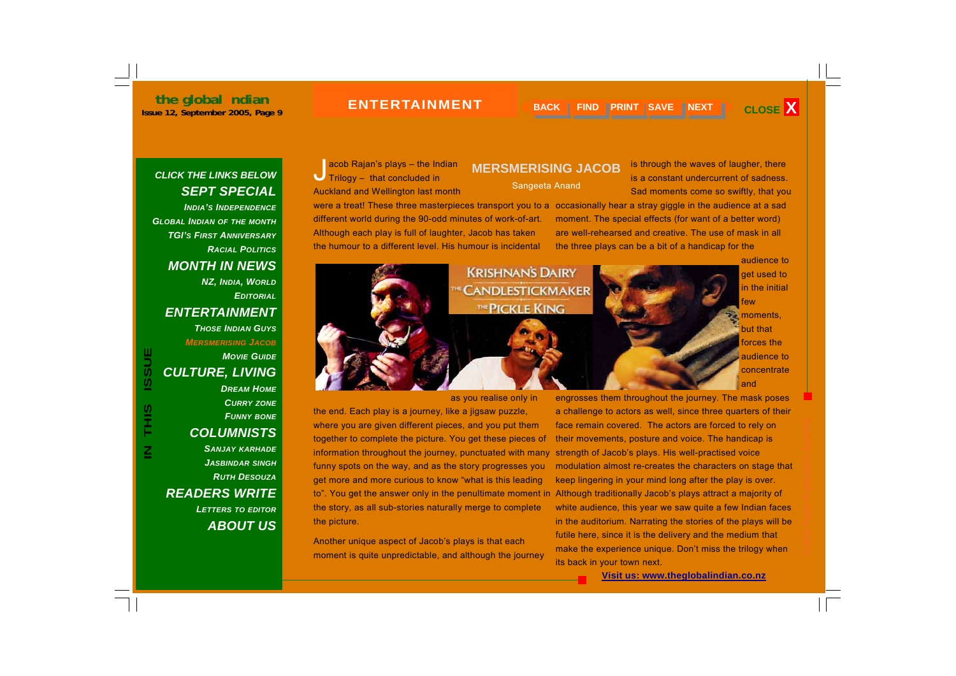#### **ENTERTAINMENT**

#### *CLICK THE LINKS BELOW SEPT SPECIAL*

*INDIA'S INDEPENDENCEGLOBAL INDIAN OF THE MONTH TGI'S FIRST ANNIVERSARYRACIAL POLITICSMONTH IN NEWS NZ, INDIA, WORLD EDITORIALENTERTAINMENT THOSE INDIAN GUYSMERSMERISING JACOB*

*CULTURE, LIVING DREAM HOMECURRY ZONE FUNNY BONE COLUMNISTS SANJAY KARHADE JASBINDAR SINGH RUTH DESOUZAREADERS WRITE LETTERS TO EDITOR ABOUT US*

**IN THIS ISSUE**

SIL<br>H

**ISSUE** 

*MOVIE GUIDE*

acob Rajan's plays – the Indian  $\bigcup$  Trilogy – that concluded in Auckland and Wellington last month were a treat! These three masterpieces transport you to a occasionally hear a stray giggle in the audience at a sad different world during the 90-odd minutes of work-of-art. Although each play is full of laughter, Jacob has taken the humour to a different level. His humour is incidental

**MERSMERISING JACOB** 

Sangeeta Anand

is through the waves of laugher, there is a constant undercurrent of sadness. Sad moments come so swiftly, that you

moment. The special effects (for want of a better word) are well-rehearsed and creative. The use of mask in all the three plays can be a bit of a handicap for the



as you realise only in

the end. Each play is a journey, like a jigsaw puzzle, where you are given different pieces, and you put them together to complete the picture. You get these pieces of information throughout the journey, punctuated with many funny spots on the way, and as the story progresses you get more and more curious to know "what is this leading to". You get the answer only in the penultimate moment in Although traditionally Jacob's plays attract a majority of the story, as all sub-stories naturally merge to complete the picture.

Another unique aspect of Jacob's plays is that each moment is quite unpredictable, and although the journey

engrosses them throughout the journey. The mask poses a challenge to actors as well, since three quarters of their face remain covered. The actors are forced to rely on their movements, posture and voice. The handicap is strength of Jacob's plays. His well-practised voice modulation almost re-creates the characters on stage that keep lingering in your mind long after the play is over. white audience, this year we saw quite a few Indian faces in the auditorium. Narrating the stories of the plays will be futile here, since it is the delivery and the medium that make the experience unique. Don't miss the trilogy when its back in your town next.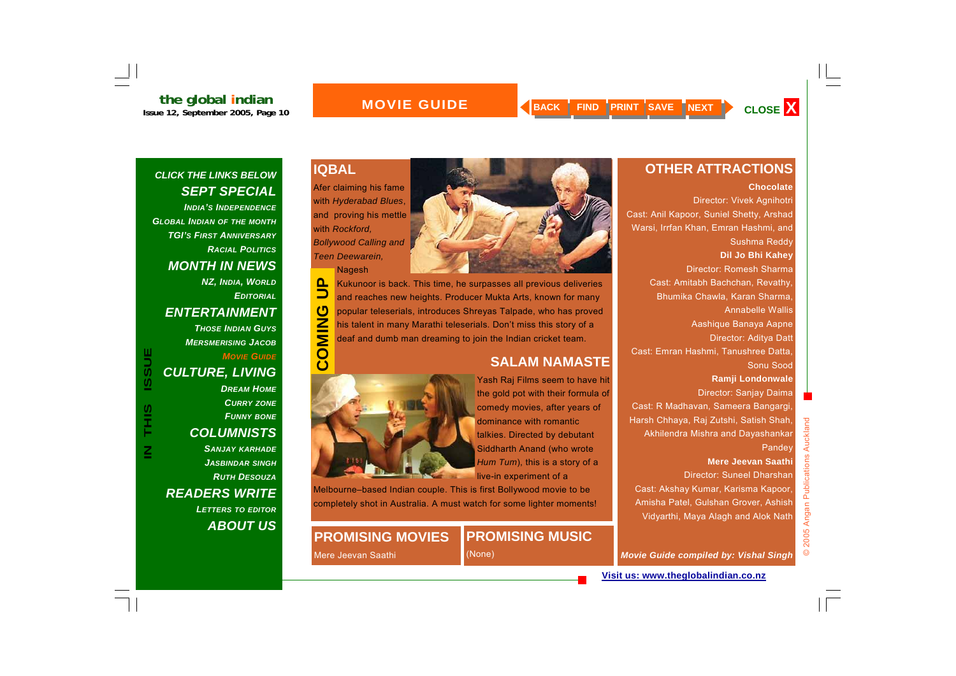#### **MOVIE GUIDE**

#### *CLICK THE LINKS BELOW SEPT SPECIAL*

*INDIA'S INDEPENDENCEGLOBAL INDIAN OF THE MONTH TGI'S FIRST ANNIVERSARYRACIAL POLITICSMONTH IN NEWS NZ, INDIA, WORLD EDITORIALENTERTAINMENT THOSE INDIAN GUYSMERSMERISING JACOBMOVIE GUIDECULTURE, LIVING DREAM HOMECURRY ZONE FUNNY BONE COLUMNISTS SANJAY KARHADE JASBINDAR SINGH*

**IN THIS ISSUE**

SIHT<br>T

 $\overline{\mathsf{z}}$ 

**ISSUE** 

*RUTH DESOUZAREADERS WRITE LETTERS TO EDITOR ABOUT US*

#### **IQBAL**

Afer claiming his fame with *Hyderabad Blues*, and proving his mettle with *Rockford, Bollywood Calling and Teen Deewarein,* 

Nagesh



**COMING UP**  $\mathbf{a}$ Kukunoor is back. This time, he surpasses all previous deliveries  $\Box$ and reaches new heights. Producer Mukta Arts, known for many  $\overline{c}$ popular teleserials, introduces Shreyas Talpade, who has proved COMIN his talent in many Marathi teleserials. Don't miss this story of a deaf and dumb man dreaming to join the Indian cricket team.

#### **SALAM NAMASTE**



Yash Raj Films seem to have hit the gold pot with their formula of comedy movies, after years of dominance with romantic talkies. Directed by debutant Siddharth Anand (who wrote *Hum Tum*), this is a story of a live-in experiment of a

Melbourne–based Indian couple. This is first Bollywood movie to be completely shot in Australia. A must watch for some lighter moments!

#### **PROMISING MOVIES**

### **PROMISING MUSIC**

Mere Jeevan Saathi

(None)

#### **OTHER ATTRACTIONS**

#### **Chocolate**

Director: Vivek Agnihotri Cast: Anil Kapoor, Suniel Shetty, Arshad Warsi, Irrfan Khan, Emran Hashmi, and Sushma Reddy **Dil Jo Bhi Kahey** Director: Romesh Sharma Cast: Amitabh Bachchan, Revathy, Bhumika Chawla, Karan Sharma, Annabelle Wallis Aashique Banaya Aapne Director: Aditya Datt Cast: Emran Hashmi, Tanushree Datta, Sonu Sood **Ramji Londonwale** Director: Sanjay Daima Cast: R Madhavan, Sameera Bangargi, Harsh Chhaya, Raj Zutshi, Satish Shah, Akhilendra Mishra and Dayashankar **Pandey Mere Jeevan Saathi** Director: Suneel Dharshan Cast: Akshay Kumar, Karisma Kapoor,

Amisha Patel, Gulshan Grover, Ashish Vidyarthi, Maya Alagh and Alok Nath

*Movie Guide compiled by: Vishal Singh*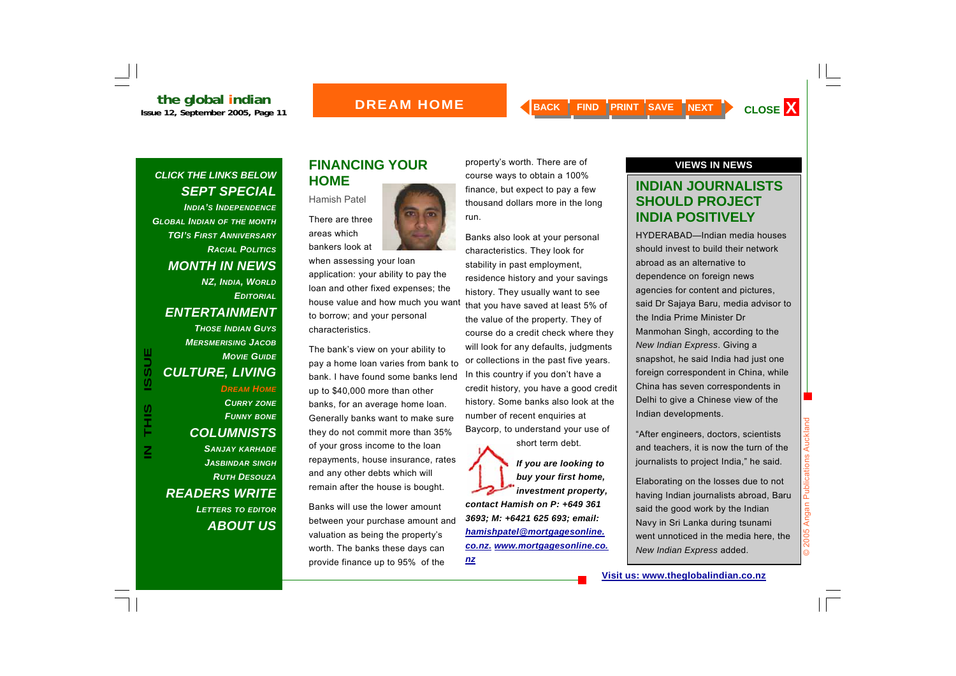#### **BOREAM HOME**

#### *CLICK THE LINKS BELOW SEPT SPECIAL*

*INDIA'S INDEPENDENCEGLOBAL INDIAN OF THE MONTH TGI'S FIRST ANNIVERSARYRACIAL POLITICSMONTH IN NEWS NZ, INDIA, WORLD EDITORIALENTERTAINMENT THOSE INDIAN GUYSMERSMERISING JACOBMOVIE GUIDECULTURE, LIVING DREAM HOMECURRY ZONE FUNNY BONE COLUMNISTS SANJAY KARHADE JASBINDAR SINGH RUTH DESOUZAREADERS WRITE LETTERS TO EDITOR ABOUT US*

**IN THIS ISSUE**

SHI<br>H

 $\overline{\mathsf{z}}$ 

**ISSUE** 

#### **FINANCING YOUR HOME**

areas which



when assessing your loan application: your ability to pay the loan and other fixed expenses; the house value and how much you want to borrow; and your personal characteristics.

The bank's view on your ability to pay a home loan varies from bank to bank. I have found some banks lend up to \$40,000 more than other banks, for an average home loan. Generally banks want to make sure they do not commit more than 35% of your gross income to the loan repayments, house insurance, rates and any other debts which will remain after the house is bought.

Banks will use the lower amount between your purchase amount and valuation as being the property's worth. The banks these days can provide finance up to 95% of the

property's worth. There are of course ways to obtain a 100% finance, but expect to pay a few thousand dollars more in the long run.

Banks also look at your personal characteristics. They look for stability in past employment, residence history and your savings history. They usually want to see that you have saved at least 5% of the value of the property. They of course do a credit check where they will look for any defaults, judgments or collections in the past five years. In this country if you don't have a credit history, you have a good credit history. Some banks also look at the number of recent enquiries at Baycorp, to understand your use of short term debt.

*If you are looking to buy your first home, investment property, contact Hamish on P: +649 361 3693; M: +6421 625 693; email: hamishpatel@mortgagesonline. co.nz. www.mortgagesonline.co.*

*nz*

#### **VIEWS IN NEWS**

#### **INDIAN JOURNALISTS SHOULD PROJECT INDIA POSITIVELY**

HYDERABAD—Indian media houses should invest to build their network abroad as an alternative to dependence on foreign news agencies for content and pictures, said Dr Sajaya Baru, media advisor to the India Prime Minister Dr Manmohan Singh, according to the *New Indian Express*. Giving a snapshot, he said India had just one foreign correspondent in China, while China has seven correspondents in Delhi to give a Chinese view of the Indian developments.

"After engineers, doctors, scientists and teachers, it is now the turn of the journalists to project India," he said.

Elaborating on the losses due to not having Indian journalists abroad, Baru said the good work by the Indian Navy in Sri Lanka during tsunami went unnoticed in the media here, the *New Indian Express* added.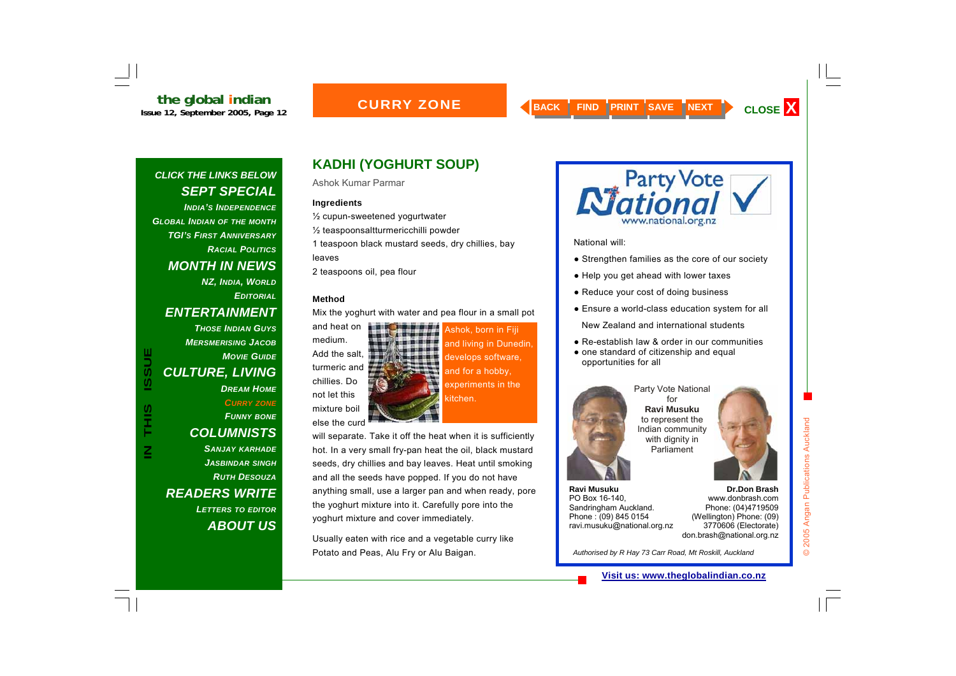#### **CURRY ZONE**

#### *CLICK THE LINKS BELOW SEPT SPECIAL*

*INDIA'S INDEPENDENCEGLOBAL INDIAN OF THE MONTH TGI'S FIRST ANNIVERSARYRACIAL POLITICSMONTH IN NEWS NZ, INDIA, WORLD EDITORIALENTERTAINMENT THOSE INDIAN GUYSMERSMERISING JACOBMOVIE GUIDECULTURE, LIVING DREAM HOMECURRY ZONE FUNNY BONE COLUMNISTS SANJAY KARHADE JASBINDAR SINGH RUTH DESOUZAREADERS WRITE LETTERS TO EDITOR ABOUT US*

**IN THIS ISSUE**

S<br>HH

 $\overline{\mathsf{z}}$ 

**ISSUE** 

### **KADHI (YOGHURT SOUP)**

Ashok Kumar Parmar

#### **Ingredients**

½ cupun-sweetened yogurtwater

½ teaspoonsaltturmericchilli powder

1 teaspoon black mustard seeds, dry chillies, bay leaves

2 teaspoons oil, pea flour

#### **Method**

Mix the yoghurt with water and pea flour in a small pot



Ashok, born in Fiji and living in Dunedin, develops software, and for a hobby, experiments in the kitchen.

will separate. Take it off the heat when it is sufficiently hot. In a very small fry-pan heat the oil, black mustard seeds, dry chillies and bay leaves. Heat until smoking and all the seeds have popped. If you do not have anything small, use a larger pan and when ready, pore the yoghurt mixture into it. Carefully pore into the yoghurt mixture and cover immediately.

Usually eaten with rice and a vegetable curry like Potato and Peas, Alu Fry or Alu Baigan.



National will:

- Strengthen families as the core of our society
- Help you get ahead with lower taxes
- Reduce your cost of doing business
- Ensure a world-class education system for all

New Zealand and international students

- Re-establish law & order in our communities
- one standard of citizenship and equal opportunities for all



**Ravi Musuku** PO Box 16-140,

Sandringham Auckland. Phone : (09) 845 0154 ravi.musuku@national.org.nz

Party Vote National for **Ravi Musuku** to represent the Indian community with dignity in Parliament



**Dr.Don Brash** www.donbrash.com Phone: (04)4719509 (Wellington) Phone: (09) 3770606 (Electorate) don.brash@national.org.nz

*Authorised by R Hay 73 Carr Road, Mt Roskill, Auckland* 

 $\odot$ 

#### **Visit us: www.theglobalindian.co.nz**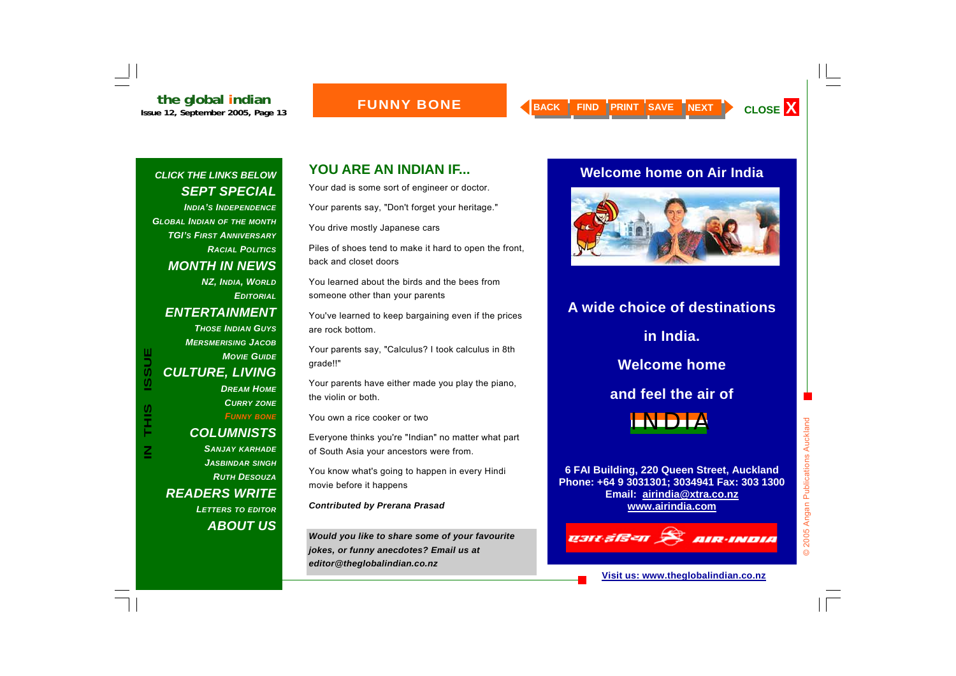#### **FUNNY BONE**

#### *CLICK THE LINKS BELOW SEPT SPECIAL*

*INDIA'S INDEPENDENCEGLOBAL INDIAN OF THE MONTH TGI'S FIRST ANNIVERSARYRACIAL POLITICSMONTH IN NEWS NZ, INDIA, WORLD EDITORIALENTERTAINMENT THOSE INDIAN GUYSMERSMERISING JACOBMOVIE GUIDECULTURE, LIVING DREAM HOMECURRY ZONE FUNNY BONE COLUMNISTS SANJAY KARHADE JASBINDAR SINGH RUTH DESOUZAREADERS WRITE LETTERS TO EDITOR ABOUT US*

**IN THIS ISSUE**

THIS

**ISSUE** 

### **YOU ARE AN INDIAN IF...**

Your dad is some sort of engineer or doctor.

Your parents say, "Don't forget your heritage."

You drive mostly Japanese cars

Piles of shoes tend to make it hard to open the front, back and closet doors

You learned about the birds and the bees from someone other than your parents

You've learned to keep bargaining even if the prices are rock bottom.

Your parents say, "Calculus? I took calculus in 8th grade!!"

Your parents have either made you play the piano, the violin or both.

You own a rice cooker or two

Everyone thinks you're "Indian" no matter what part of South Asia your ancestors were from.

You know what's going to happen in every Hindi movie before it happens

*Contributed by Prerana Prasad* 

*Would you like to share some of your favourite jokes, or funny anecdotes? Email us at editor@theglobalindian.co.nz* 

#### **Welcome home on Air India**



## **A wide choice of destinations**

**in India.** 

**Welcome home** 

**and feel the air of** 



**6 FAI Building, 220 Queen Street, Auckland Phone: +64 9 3031301; 3034941 Fax: 303 1300 Email: airindia@xtra.co.nz www.airindia.com**

## **Q3R 3B=n A AIR-INDIA**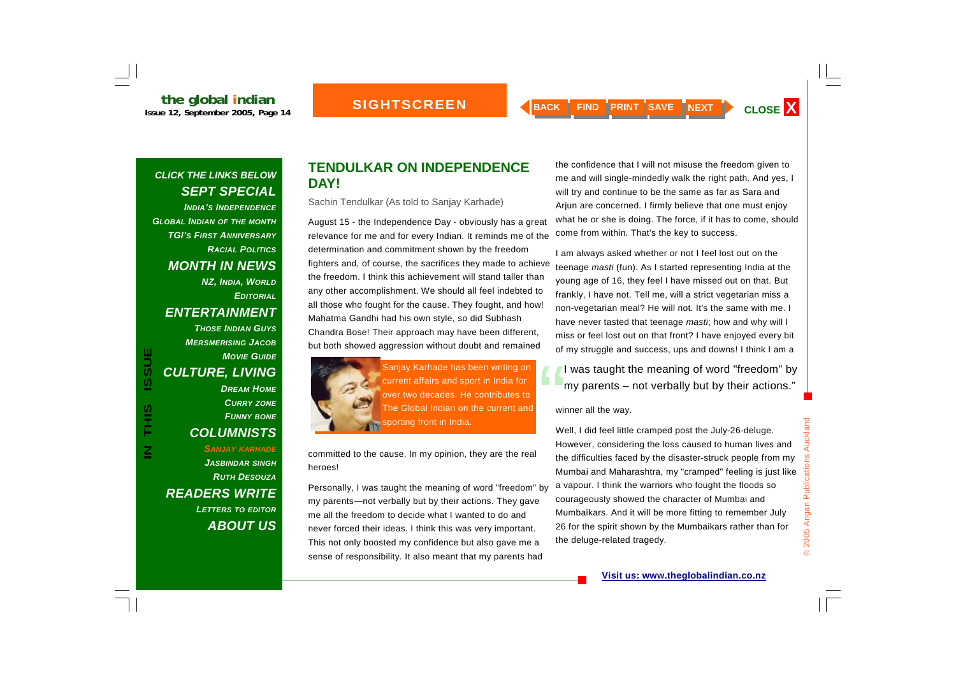*INDIA'S INDEPENDENCE GLOBAL INDIAN OF THE MONTH TGI'S FIRST ANNIVERSARYRACIAL POLITICSMONTH IN NEWS NZ, INDIA, WORLD EDITORIAL ENTERTAINMENT THOSE INDIAN GUYSMERSMERISING JACOBMOVIE GUIDECULTURE, LIVING DREAM HOMECURRY ZONE FUNNY BONE COLUMNISTS SANJAY KARHADE JASBINDAR SINGH RUTH DESOUZAREADERS WRITE LETTERS TO EDITOR* FUND BOULTURE, LIVING<br>
TURE, LIVING<br>
DREAM HOME<br>
DREAM HOME<br>
DREAM HOME<br>
DREAM HOME<br>
COLUMNISTS<br>
COLUMNISTS<br>
COLUMNISTS<br>
COLUMNISTS<br>
COLUMNISTS<br>
COLUMNISTS<br>
COLUMNISTS<br>
COLUMNISTS<br>
COLUMNISTS<br>
COLUMNISTS<br>
COLUMNISTS<br>
COLUM

*ABOUT US*

#### **TENDULKAR ON INDEPENDENCE DAY!**

Sachin Tendulkar (As told to Sanjay Karhade)

August 15 - the Independence Day - obviously has a great relevance for me and for every Indian. It reminds me of the determination and commitment shown by the freedom fighters and, of course, the sacrifices they made to achieve the freedom. I think this achievement will stand taller than any other accomplishment. We should all feel indebted to all those who fought for the cause. They fought, and how! Mahatma Gandhi had his own style, so did Subhash Chandra Bose! Their approach may have been different, but both showed aggression without doubt and remained



committed to the cause. In my opinion, they are the real heroes!

Personally, I was taught the meaning of word "freedom" by my parents—not verbally but by their actions. They gave me all the freedom to decide what I wanted to do and never forced their ideas. I think this was very important. This not only boosted my confidence but also gave me a sense of responsibility. It also meant that my parents had

the confidence that I will not misuse the freedom given to me and will single-mindedly walk the right path. And yes, I will try and continue to be the same as far as Sara and Arjun are concerned. I firmly believe that one must enjoy what he or she is doing. The force, if it has to come, should come from within. That's the key to success.

I am always asked whether or not I feel lost out on the teenage *masti* (fun). As I started representing India at the young age of 16, they feel I have missed out on that. But frankly, I have not. Tell me, will a strict vegetarian miss a non-vegetarian meal? He will not. It's the same with me. I have never tasted that teenage *masti*; how and why will I miss or feel lost out on that front? I have enjoyed every bit of my struggle and success, ups and downs! I think I am a

winner all the way.

Well, I did feel little cramped post the July-26-deluge. However, considering the loss caused to human lives and the difficulties faced by the disaster-struck people from my Mumbai and Maharashtra, my "cramped" feeling is just like a vapour. I think the warriors who fought the floods so courageously showed the character of Mumbai and Mumbaikars. And it will be more fitting to remember July 26 for the spirit shown by the Mumbaikars rather than for the deluge-related tragedy.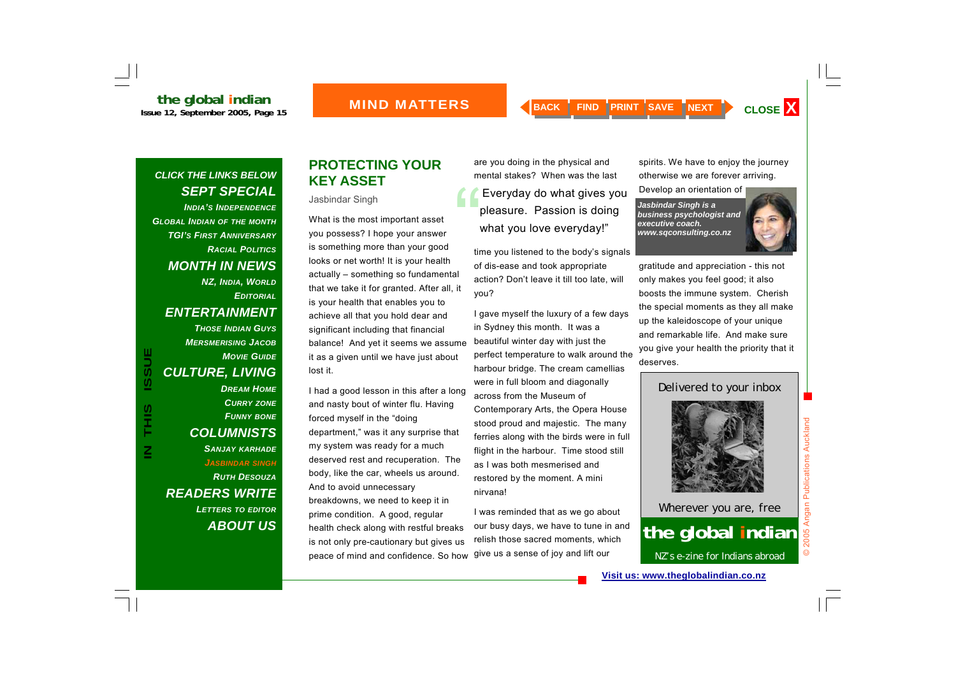#### *CLICK THE LINKS BELOW SEPT SPECIAL*

*INDIA'S INDEPENDENCEGLOBAL INDIAN OF THE MONTH TGI'S FIRST ANNIVERSARYRACIAL POLITICSMONTH IN NEWS NZ, INDIA, WORLD EDITORIALENTERTAINMENT THOSE INDIAN GUYSMERSMERISING JACOBMOVIE GUIDECULTURE, LIVING DREAM HOMECURRY ZONE FUNNY BONE COLUMNISTS SANJAY KARHADE JASBINDAR SINGH RUTH DESOUZA READERS WRITE LETTERS TO EDITOR*

**IN THIS ISSUE**

S<br>HH<br>H

 $\overline{\mathsf{z}}$ 

**ISSUE** 

*ABOUT US*

#### **PROTECTING YOUR KEY ASSET**

#### Jasbindar Singh

What is the most important asset you possess? I hope your answer is something more than your good looks or net worth! It is your health actually – something so fundamental that we take it for granted. After all, it is your health that enables you to achieve all that you hold dear and significant including that financial balance! And yet it seems we assume it as a given until we have just about lost it.

I had a good lesson in this after a long and nasty bout of winter flu. Having forced myself in the "doing department," was it any surprise that my system was ready for a much deserved rest and recuperation. The body, like the car, wheels us around. And to avoid unnecessary breakdowns, we need to keep it in prime condition. A good, regular health check along with restful breaks is not only pre-cautionary but gives us peace of mind and confidence. So how give us a sense of joy and lift our

are you doing in the physical and mental stakes? When was the last "Everyday do what gives you pleasure. Passion is doing what you love everyday!"

time you listened to the body's signals of dis-ease and took appropriate action? Don't leave it till too late, will you?

I gave myself the luxury of a few days in Sydney this month. It was a beautiful winter day with just the perfect temperature to walk around the harbour bridge. The cream camellias were in full bloom and diagonally across from the Museum of Contemporary Arts, the Opera House stood proud and majestic. The many ferries along with the birds were in full flight in the harbour. Time stood still as I was both mesmerised and restored by the moment. A mini nirvana!

I was reminded that as we go about our busy days, we have to tune in and relish those sacred moments, which

spirits. We have to enjoy the journey otherwise we are forever arriving.

Develop an orientation of

*Jasbindar Singh is a business psychologist and executive coach. www.sqconsulting.co.nz* 

gratitude and appreciation - this not only makes you feel good; it also boosts the immune system. Cherish the special moments as they all make up the kaleidoscope of your unique and remarkable life. And make sure you give your health the priority that it deserves.

#### Delivered to your inbox



### Wherever you are, free **the global indian** NZ's e-zine for Indians abroad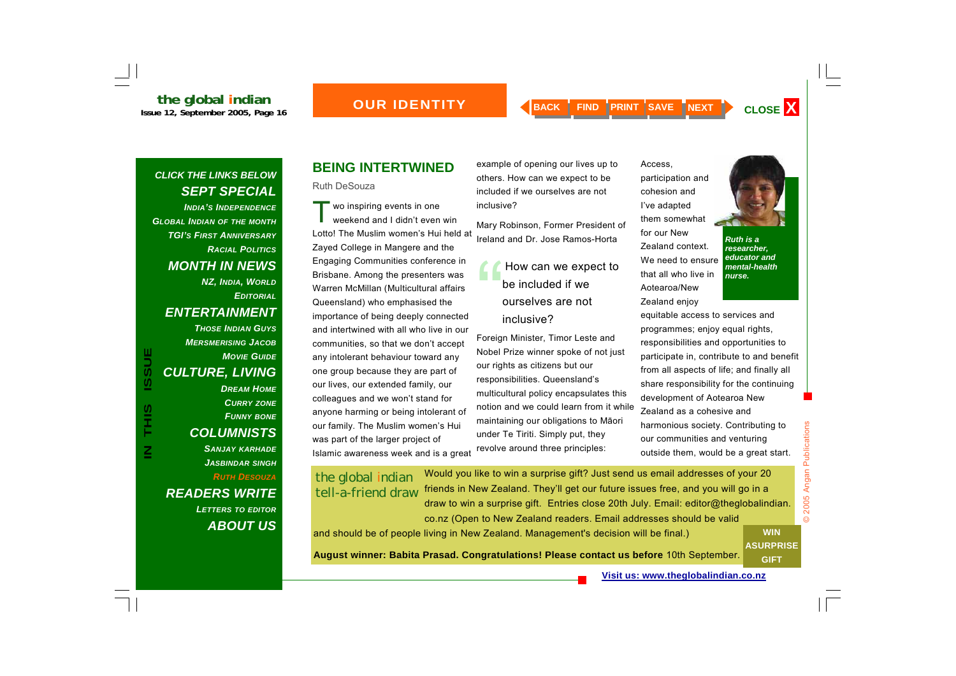*INDIA'S INDEPENDENCEGLOBAL INDIAN OF THE MONTH TGI'S FIRST ANNIVERSARYRACIAL POLITICSMONTH IN NEWS NZ, INDIA, WORLD EDITORIALENTERTAINMENT THOSE INDIAN GUYSMERSMERISING JACOBMOVIE GUIDECULTURE, LIVING DREAM HOMECURRY ZONE FUNNY BONE COLUMNISTS SANJAY KARHADE JASBINDAR SINGH RUTH DESOUZA*

*READERS WRITE LETTERS TO EDITOR ABOUT US*

#### **BEING INTERTWINED**

Ruth DeSouza

T $\blacksquare$  wo inspiring events in one<br>weekend and I didn't even win Lotto! The Muslim women's Hui held at Zayed College in Mangere and the Engaging Communities conference in Brisbane. Among the presenters was Warren McMillan (Multicultural affairs Queensland) who emphasised the importance of being deeply connected and intertwined with all who live in our communities, so that we don't accept any intolerant behaviour toward any one group because they are part of our lives, our extended family, our colleagues and we won't stand for anyone harming or being intolerant of our family. The Muslim women's Hui was part of the larger project of Islamic awareness week and is a great

example of opening our lives up to others. How can we expect to be included if we ourselves are not inclusive?

Mary Robinson, Former President of Ireland and Dr. Jose Ramos-Horta

> How can we expect to<br>be included if we ourselves are not inclusive?

Foreign Minister, Timor Leste and Nobel Prize winner spoke of not just our rights as citizens but our responsibilities. Queensland's multicultural policy encapsulates this notion and we could learn from it while maintaining our obligations to M āori under Te Tiriti. Simply put, they revolve around three principles:

Access, participation and cohesion and I've adapted them somewhat for our New Zealand context. We need to ensure that all who live in Aotearoa/New

Zealand enjoy



*Ruth is a researcher, educator and mental-health nurse.* 

equitable access to services and programmes; enjoy equal rights, responsibilities and opportunities to participate in, contribute to and benefit from all aspects of life; and finally all share responsibility for the continuing development of Aotearoa New Zealand as a cohesive and harmonious society. Contributing to our communities and venturing outside them, would be a great start.

#### the global indian tell-a-friend draw

Would you like to win a surprise gift? Just send us email addresses of your 20 friends in New Zealand. They'll get our future issues free, and you will go in a draw to win a surprise gift. Entries close 20th July. Email: editor@theglobalindian. co.nz (Open to New Zealand readers. Email addresses should be valid

and should be of people living in New Zealand. Management's decision will be final.)

**August winner: Babita Prasad. Congratulations! Please contact us before** 10th September.

© 2005 Angan Publications  $\odot$ **WIN ASURPRISE GIFT** 

2005 Angan Publications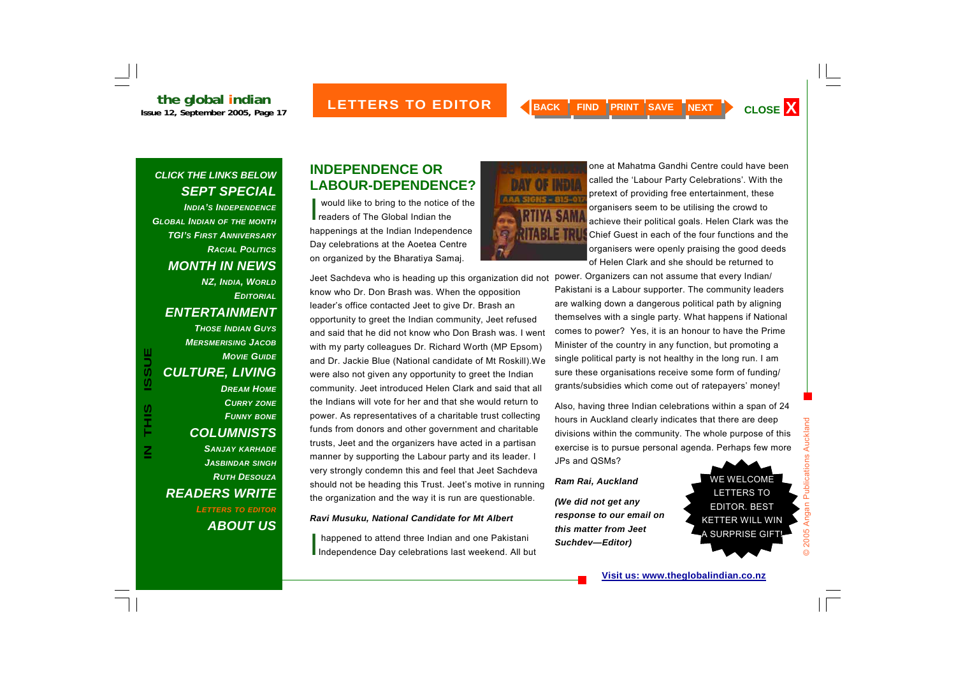*INDIA'S INDEPENDENCEGLOBAL INDIAN OF THE MONTH TGI'S FIRST ANNIVERSARYRACIAL POLITICSMONTH IN NEWS NZ, INDIA, WORLD EDITORIALENTERTAINMENT THOSE INDIAN GUYSMERSMERISING JACOBMOVIE GUIDECULTURE, LIVING DREAM HOMECURRY ZONE FUNNY BONE COLUMNISTS SANJAY KARHADE JASBINDAR SINGH RUTH DESOUZAREADERS WRITE LETTERS TO EDITOR ABOUT US*

**IN THIS ISSUE**

Ĩ

**ISSUE** 

#### **INDEPENDENCE OR LABOUR-DEPENDENCE?**

**NER** 

I would like to bring to the notice of the readers of The Global Indian the happenings at the Indian Independence Day celebrations at the Aoetea Centre on organized by the Bharatiya Samaj.

Jeet Sachdeva who is heading up this organization did not know who Dr. Don Brash was. When the opposition leader's office contacted Jeet to give Dr. Brash an opportunity to greet the Indian community, Jeet refused and said that he did not know who Don Brash was. I went with my party colleagues Dr. Richard Worth (MP Epsom) and Dr. Jackie Blue (National candidate of Mt Roskill).We were also not given any opportunity to greet the Indian community. Jeet introduced Helen Clark and said that all the Indians will vote for her and that she would return to power. As representatives of a charitable trust collecting funds from donors and other government and charitable trusts, Jeet and the organizers have acted in a partisan manner by supporting the Labour party and its leader. I very strongly condemn this and feel that Jeet Sachdeva should not be heading this Trust. Jeet's motive in running the organization and the way it is run are questionable.

#### *Ravi Musuku, National Candidate for Mt Albert*

I happened to attend three Indian and one Pakistani Independence Day celebrations last weekend. All but



one at Mahatma Gandhi Centre could have been called the 'Labour Party Celebrations'. With the pretext of providing free entertainment, these organisers seem to be utilising the crowd to achieve their political goals. Helen Clark was the Chief Guest in each of the four functions and the organisers were openly praising the good deeds of Helen Clark and she should be returned to

power. Organizers can not assume that every Indian/ Pakistani is a Labour supporter. The community leaders are walking down a dangerous political path by aligning themselves with a single party. What happens if National comes to power? Yes, it is an honour to have the Prime Minister of the country in any function, but promoting a single political party is not healthy in the long run. I am sure these organisations receive some form of funding/ grants/subsidies which come out of ratepayers' money!

Also, having three Indian celebrations within a span of 24 hours in Auckland clearly indicates that there are deep divisions within the community. The whole purpose of this exercise is to pursue personal agenda. Perhaps few more JPs and QSMs?

#### *Ram Rai, Auckland*

*(We did not get any response to our email on this matter from Jeet Suchdev—Editor)* 

WE WELCOME LETTERS TO EDITOR. BEST KETTER WILL WIN A SURPRISE GIFT!